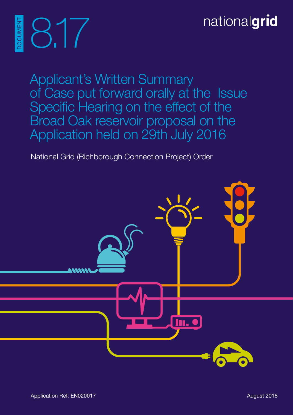# nationalgrid

Applicant's Written Summary of Case put forward orally at the Issue Specific Hearing on the effect of the Broad Oak reservoir proposal on the Application held on 29th July 2016

National Grid (Richborough Connection Project) Order



8.17

DOCUMENT

**OCUMEN**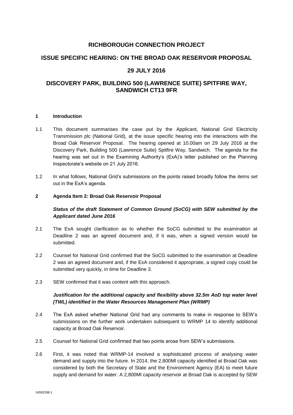# **RICHBOROUGH CONNECTION PROJECT**

# **ISSUE SPECIFIC HEARING: ON THE BROAD OAK RESERVOIR PROPOSAL**

# **29 JULY 2016**

# **DISCOVERY PARK, BUILDING 500 (LAWRENCE SUITE) SPITFIRE WAY, SANDWICH CT13 9FR**

# **1 Introduction**

- 1.1 This document summarises the case put by the Applicant, National Grid Electricity Transmission plc (National Grid), at the issue specific hearing into the interactions with the Broad Oak Reservoir Proposal. The hearing opened at 10.00am on 29 July 2016 at the Discovery Park, Building 500 (Lawrence Suite) Spitfire Way, Sandwich. The agenda for the hearing was set out in the Examining Authority's (ExA)'s letter published on the Planning Inspectorate's website on 21 July 2016.
- 1.2 In what follows, National Grid's submissions on the points raised broadly follow the items set out in the ExA's agenda.

#### **2 Agenda Item 2: Broad Oak Reservoir Proposal**

# *Status of the draft Statement of Common Ground (SoCG) with SEW submitted by the Applicant dated June 2016*

- 2.1 The ExA sought clarification as to whether the SoCG submitted to the examination at Deadline 2 was an agreed document and, if it was, when a signed version would be submitted.
- 2.2 Counsel for National Grid confirmed that the SoCG submitted to the examination at Deadline 2 was an agreed document and, if the ExA considered it appropriate, a signed copy could be submitted very quickly, in time for Deadline 3.
- 2.3 SEW confirmed that it was content with this approach.

# *Justification for the additional capacity and flexibility above 32.5m AoD top water level (TWL) identified in the Water Resources Management Plan (WRMP)*

- 2.4 The ExA asked whether National Grid had any comments to make in response to SEW's submissions on the further work undertaken subsequent to WRMP 14 to identify additional capacity at Broad Oak Reservoir.
- 2.5 Counsel for National Grid confirmed that two points arose from SEW's submissions.
- 2.6 First, it was noted that WRMP-14 involved a sophisticated process of analysing water demand and supply into the future. In 2014, the 2,800Ml capacity identified at Broad Oak was considered by both the Secretary of State and the Environment Agency (EA) to meet future supply and demand for water. A 2,800Ml capacity reservoir at Broad Oak is accepted by SEW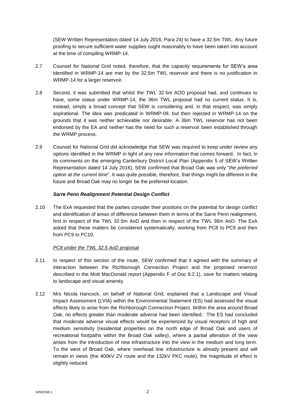(SEW Written Representation dated 14 July 2016, Para 24) to have a 32.5m TWL. Any future proofing to secure sufficient water supplies ought reasonably to have been taken into account at the time of compiling WRMP-14.

- 2.7 Counsel for National Grid noted, therefore, that the capacity requirements for SEW's area identified in WRMP-14 are met by the 32.5m TWL reservoir and there is no justification in WRMP-14 for a larger reservoir.
- 2.8 Second, it was submitted that whilst the TWL 32.5m AOD proposal had, and continues to have, some status under WRMP-14, the 36m TWL proposal had no current status. It is, instead, simply a broad concept that SEW is considering and, in that respect, was simply aspirational. The idea was predicated in WRMP-09, but then rejected in WRMP-14 on the grounds that it was neither achievable nor desirable. A 36m TWL reservoir has not been endorsed by the EA and neither has the need for such a reservoir been established through the WRMP process.
- 2.9 Counsel for National Grid did acknowledge that SEW was required to keep under review any options identified in the WRMP in light of any new information that comes forward. In fact, in its comments on the emerging Canterbury District Local Plan (Appendix 5 of SEW's Written Representation dated 14 July 2016), SEW confirmed that Broad Oak was only "*the preferred option at the current time*". It was quite possible, therefore, that things might be different in the future and Broad Oak may no longer be the preferred location.

#### *Sarre Penn Realignment Potential Design Conflict*

2.10 The ExA requested that the parties consider their positions on the potential for design conflict and identification of areas of difference between them in terms of the Sarre Penn realignment, first in respect of the TWL 32.5m AoD and then in respect of the TWL 36m AoD. The ExA asked that these matters be considered systematically, working from PC8 to PC9 and then from PC9 to PC10.

# *PC8 under the TWL 32.5 AoD proposal*

- 2.11 In respect of this section of the route, SEW confirmed that it agreed with the summary of interaction between the Richborough Connection Project and the proposed reservoir described in the Mott MacDonald report (Appendix F of Doc 8.2.1), save for matters relating to landscape and visual amenity.
- 2.12 Mrs Nicola Hancock, on behalf of National Grid, explained that a Landscape and Visual Impact Assessment (LVIA) within the Environmental Statement (ES) had assessed the visual effects likely to arise from the Richborough Connection Project. Within the area around Broad Oak, no effects greater than moderate adverse had been identified. The ES had concluded that moderate adverse visual effects would be experienced by visual receptors of high and medium sensitivity (residential properties on the north edge of Broad Oak and users of recreational footpaths within the Broad Oak valley), where a partial alteration of the view arises from the introduction of new infrastructure into the view in the medium and long term. To the west of Broad Oak, where overhead line infrastructure is already present and will remain in views (the 400kV ZV route and the 132kV PKC route), the magnitude of effect is slightly reduced.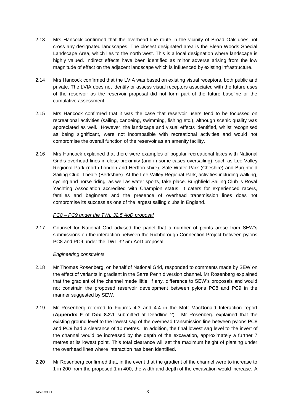- 2.13 Mrs Hancock confirmed that the overhead line route in the vicinity of Broad Oak does not cross any designated landscapes. The closest designated area is the Blean Woods Special Landscape Area, which lies to the north west. This is a local designation where landscape is highly valued. Indirect effects have been identified as minor adverse arising from the low magnitude of effect on the adjacent landscape which is influenced by existing infrastructure.
- 2.14 Mrs Hancock confirmed that the LVIA was based on existing visual receptors, both public and private. The LVIA does not identify or assess visual receptors associated with the future uses of the reservoir as the reservoir proposal did not form part of the future baseline or the cumulative assessment.
- 2.15 Mrs Hancock confirmed that it was the case that reservoir users tend to be focussed on recreational activities (sailing, canoeing, swimming, fishing etc.), although scenic quality was appreciated as well. However, the landscape and visual effects identified, whilst recognised as being significant, were not incompatible with recreational activities and would not compromise the overall function of the reservoir as an amenity facility.
- 2.16 Mrs Hancock explained that there were examples of popular recreational lakes with National Grid's overhead lines in close proximity (and in some cases oversailing), such as Lee Valley Regional Park (north London and Hertfordshire), Sale Water Park (Cheshire) and Burghfield Sailing Club, Theale (Berkshire). At the Lee Valley Regional Park, activities including walking, cycling and horse riding, as well as water sports, take place. Burghfield Sailing Club is Royal Yachting Association accredited with Champion status. It caters for experienced racers, families and beginners and the presence of overhead transmission lines does not compromise its success as one of the largest sailing clubs in England.

# *PC8 – PC9 under the TWL 32.5 AoD proposal*

2.17 Counsel for National Grid advised the panel that a number of points arose from SEW's submissions on the interaction between the Richborough Connection Project between pylons PC8 and PC9 under the TWL 32.5m AoD proposal.

# *Engineering constraints*

- 2.18 Mr Thomas Rosenberg, on behalf of National Grid, responded to comments made by SEW on the effect of variants in gradient in the Sarre Penn diversion channel. Mr Rosenberg explained that the gradient of the channel made little, if any, difference to SEW's proposals and would not constrain the proposed reservoir development between pylons PC8 and PC9 in the manner suggested by SEW.
- 2.19 Mr Rosenberg referred to Figures 4.3 and 4.4 in the Mott MacDonald Interaction report (**Appendix F** of **Doc 8.2.1** submitted at Deadline 2). Mr Rosenberg explained that the existing ground level to the lowest sag of the overhead transmission line between pylons PC8 and PC9 had a clearance of 10 metres. In addition, the final lowest sag level to the invert of the channel would be increased by the depth of the excavation, approximately a further 7 metres at its lowest point. This total clearance will set the maximum height of planting under the overhead lines where interaction has been identified.
- 2.20 Mr Rosenberg confirmed that, in the event that the gradient of the channel were to increase to 1 in 200 from the proposed 1 in 400, the width and depth of the excavation would increase. A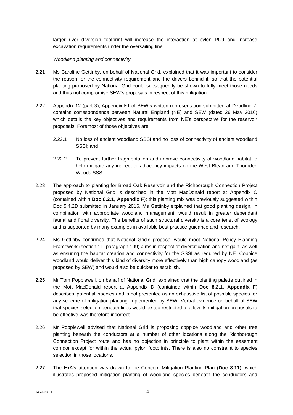larger river diversion footprint will increase the interaction at pylon PC9 and increase excavation requirements under the oversailing line.

#### *Woodland planting and connectivity*

- 2.21 Ms Caroline Gettinby, on behalf of National Grid, explained that it was important to consider the reason for the connectivity requirement and the drivers behind it, so that the potential planting proposed by National Grid could subsequently be shown to fully meet those needs and thus not compromise SEW's proposals in respect of this mitigation.
- 2.22 Appendix 12 (part 3), Appendix F1 of SEW's written representation submitted at Deadline 2, contains correspondence between Natural England (NE) and SEW (dated 26 May 2016) which details the key objectives and requirements from NE's perspective for the reservoir proposals. Foremost of those objectives are:
	- 2.22.1 No loss of ancient woodland SSSI and no loss of connectivity of ancient woodland SSSI; and
	- 2.22.2 To prevent further fragmentation and improve connectivity of woodland habitat to help mitigate any indirect or adjacency impacts on the West Blean and Thornden Woods SSSI.
- 2.23 The approach to planting for Broad Oak Reservoir and the Richborough Connection Project proposed by National Grid is described in the Mott MacDonald report at Appendix C (contained within **Doc 8.2.1**, **Appendix F**); this planting mix was previously suggested within Doc 5.4.2D submitted in January 2016. Ms Gettinby explained that good planting design, in combination with appropriate woodland management, would result in greater dependant faunal and floral diversity. The benefits of such structural diversity is a core tenet of ecology and is supported by many examples in available best practice guidance and research.
- 2.24 Ms Gettinby confirmed that National Grid's proposal would meet National Policy Planning Framework (section 11, paragraph 109) aims in respect of diversification and net gain, as well as ensuring the habitat creation and connectivity for the SSSI as required by NE. Coppice woodland would deliver this kind of diversity more effectively than high canopy woodland (as proposed by SEW) and would also be quicker to establish.
- 2.25 Mr Tom Popplewell, on behalf of National Grid, explained that the planting palette outlined in the Mott MacDonald report at Appendix D (contained within **Doc 8.2.1**, **Appendix F**) describes 'potential' species and is not presented as an exhaustive list of possible species for any scheme of mitigation planting implemented by SEW. Verbal evidence on behalf of SEW that species selection beneath lines would be too restricted to allow its mitigation proposals to be effective was therefore incorrect.
- 2.26 Mr Popplewell advised that National Grid is proposing coppice woodland and other tree planting beneath the conductors at a number of other locations along the Richborough Connection Project route and has no objection in principle to plant within the easement corridor except for within the actual pylon footprints. There is also no constraint to species selection in those locations.
- 2.27 The ExA's attention was drawn to the Concept Mitigation Planting Plan (**Doc 8.11**), which illustrates proposed mitigation planting of woodland species beneath the conductors and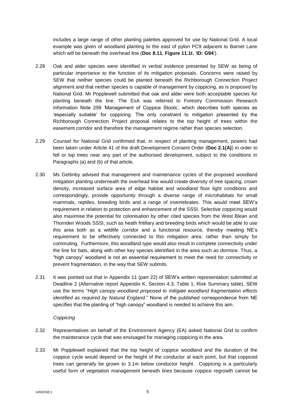includes a large range of other planting palettes approved for use by National Grid. A local example was given of woodland planting to the east of pylon PC9 adjacent to Barnet Lane which will be beneath the overhead line (**Doc 8.11**, **Figure 11.1t**, '**ID: G94**').

- 2.28 Oak and alder species were identified in verbal evidence presented by SEW as being of particular importance to the function of its mitigation proposals. Concerns were raised by SEW that neither species could be planted beneath the Richborough Connection Project alignment and that neither species is capable of management by coppicing, as is proposed by National Grid. Mr Popplewell submitted that oak and alder were both acceptable species for planting beneath the line. The ExA was referred to Forestry Commission Research Information Note 259 'Management of Coppice Stools', which describes both species as 'especially suitable' for coppicing. The only constraint to mitigation presented by the Richborough Connection Project proposal relates to the top height of trees within the easement corridor and therefore the management regime rather than species selection.
- 2.29 Counsel for National Grid confirmed that, in respect of planting management, powers had been taken under Article 41 of the draft Development Consent Order (**Doc 2.1(A)**) in order to fell or lop trees near any part of the authorised development, subject to the conditions in Paragraphs (a) and (b) of that article.
- 2.30 Ms Gettinby advised that management and maintenance cycles of the proposed woodland mitigation planting underneath the overhead line would create diversity of tree spacing, crown density, increased surface area of edge habitat and woodland floor light conditions and correspondingly, provide opportunity through a diverse range of microhabitats for small mammals, reptiles, breeding birds and a range of invertebrates. This would meet SEW's requirement in relation to protection and enhancement of the SSSI. Selective coppicing would also maximise the potential for colonisation by other cited species from the West Blean and Thornden Woods SSSI, such as heath fritillary and breeding birds which would be able to use this area both as a wildlife corridor and a functional resource, thereby meeting NE's requirement to be effectively connected to this mitigation area, rather than simply for commuting. Furthermore, this woodland type would also result in complete connectivity under the line for bats, along with other key species identified in the area such as dormice. Thus, a "high canopy" woodland is not an essential requirement to meet the need for connectivity or prevent fragmentation, in the way that SEW submits.
- 2.31 It was pointed out that in Appendix 11 (part 22) of SEW's written representation submitted at Deadline 2 (Alternative report Appendix K, Section 4.3, Table 1, Risk Summary table), SEW use the terms "*High canopy woodland proposed to mitigate woodland fragmentation effects identified as required by Natural England*." None of the published correspondence from NE specifies that the planting of "high canopy" woodland is needed to achieve this aim.

#### *Coppicing*

- 2.32 Representatives on behalf of the Environment Agency (EA) asked National Grid to confirm the maintenance cycle that was envisaged for managing coppicing in the area.
- 2.33 Mr Popplewell explained that the top height of coppice woodland and the duration of the coppice cycle would depend on the height of the conductor at each point, but that coppiced trees can generally be grown to 3.1m below conductor height. Coppicing is a particularly useful form of vegetation management beneath lines because coppice regrowth cannot be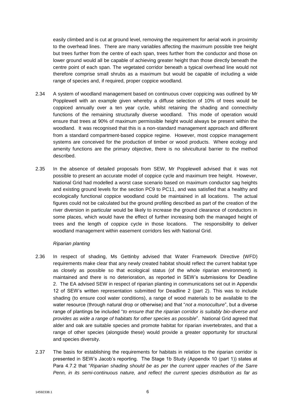easily climbed and is cut at ground level, removing the requirement for aerial work in proximity to the overhead lines. There are many variables affecting the maximum possible tree height but trees further from the centre of each span, trees further from the conductor and those on lower ground would all be capable of achieving greater height than those directly beneath the centre point of each span. The vegetated corridor beneath a typical overhead line would not therefore comprise small shrubs as a maximum but would be capable of including a wide range of species and, if required, proper coppice woodland.

- 2.34 A system of woodland management based on continuous cover coppicing was outlined by Mr Popplewell with an example given whereby a diffuse selection of 10% of trees would be coppiced annually over a ten year cycle, whilst retaining the shading and connectivity functions of the remaining structurally diverse woodland. This mode of operation would ensure that trees at 90% of maximum permissible height would always be present within the woodland. It was recognised that this is a non-standard management approach and different from a standard compartment-based coppice regime. However, most coppice management systems are conceived for the production of timber or wood products. Where ecology and amenity functions are the primary objective, there is no silvicultural barrier to the method described.
- 2.35 In the absence of detailed proposals from SEW, Mr Popplewell advised that it was not possible to present an accurate model of coppice cycle and maximum tree height. However, National Grid had modelled a worst case scenario based on maximum conductor sag heights and existing ground levels for the section PC9 to PC11, and was satisfied that a healthy and ecologically functional coppice woodland could be maintained in all locations. The actual figures could not be calculated but the ground profiling described as part of the creation of the river diversion in particular would be likely to increase the ground clearance of conductors in some places, which would have the effect of further increasing both the managed height of trees and the length of coppice cycle in those locations. The responsibility to deliver woodland management within easement corridors lies with National Grid.

#### *Riparian planting*

- 2.36 In respect of shading, Ms Gettinby advised that Water Framework Directive (WFD) requirements make clear that any newly created habitat should reflect the current habitat type as closely as possible so that ecological status (of the whole riparian environment) is maintained and there is no deterioration, as reported in SEW's submissions for Deadline 2. The EA advised SEW in respect of riparian planting in communications set out in Appendix 12 of SEW's written representation submitted for Deadline 2 (part 2). This was to include shading (to ensure cool water conditions), a range of wood materials to be available to the water resource (through natural drop or otherwise) and that "*not a monoculture*", but a diverse range of plantings be included "*to ensure that the riparian corridor is suitably bio-diverse and provides as wide a range of habitats for other species as possible*". National Grid agreed that alder and oak are suitable species and promote habitat for riparian invertebrates, and that a range of other species (alongside these) would provide a greater opportunity for structural and species diversity.
- 2.37 The basis for establishing the requirements for habitats in relation to the riparian corridor is presented in SEW's Jacob's reporting. The Stage 1b Study (Appendix 10 (part 1)) states at Para 4.7.2 that "*Riparian shading should be as per the current upper reaches of the Sarre Penn, in its semi-continuous nature, and reflect the current species distribution as far as*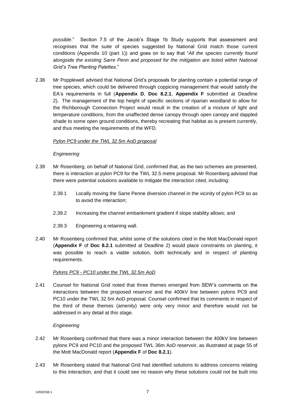*possible*." Section 7.5 of the Jacob's Stage 1b Study supports that assessment and recognises that the suite of species suggested by National Grid match those current conditions (Appendix 10 (part 1)) and goes on to say that "*All the species currently found alongside the existing Sarre Penn and proposed for the mitigation are listed within National Grid's Tree Planting Palettes*."

2.38 Mr Popplewell advised that National Grid's proposals for planting contain a potential range of tree species, which could be delivered through coppicing management that would satisfy the EA's requirements in full (**Appendix D**, **Doc 8.2.1**, **Appendix F** submitted at Deadline 2). The management of the top height of specific sections of riparian woodland to allow for the Richborough Connection Project would result in the creation of a mixture of light and temperature conditions, from the unaffected dense canopy through open canopy and dappled shade to some open ground conditions, thereby recreating that habitat as is present currently, and thus meeting the requirements of the WFD.

# *Pylon PC9 under the TWL 32.5m AoD proposal*

#### *Engineering*

- 2.39 Mr Rosenberg, on behalf of National Grid, confirmed that, as the two schemes are presented, there is interaction at pylon PC9 for the TWL 32.5 metre proposal. Mr Rosenberg advised that there were potential solutions available to mitigate the interaction cited, including:
	- 2.39.1 Locally moving the Sarre Penne diversion channel in the vicinity of pylon PC9 so as to avoid the interaction;
	- 2.39.2 Increasing the channel embankment gradient if slope stability allows; and
	- 2.39.3 Engineering a retaining wall.
- 2.40 Mr Rosenberg confirmed that, whilst some of the solutions cited in the Mott MacDonald report (**Appendix F** of **Doc 8.2.1** submitted at Deadline 2) would place constraints on planting, it was possible to reach a viable solution, both technically and in respect of planting requirements.

# *Pylons PC9 - PC10 under the TWL 32.5m AoD*

2.41 Counsel for National Grid noted that three themes emerged from SEW's comments on the interactions between the proposed reservoir and the 400kV line between pylons PC9 and PC10 under the TWL 32.5m AoD proposal. Counsel confirmed that its comments in respect of the third of these themes (amenity) were only very minor and therefore would not be addressed in any detail at this stage.

# *Engineering*

- 2.42 Mr Rosenberg confirmed that there was a minor interaction between the 400kV line between pylons PC9 and PC10 and the proposed TWL 36m AoD reservoir, as illustrated at page 55 of the Mott MacDonald report (**Appendix F** of **Doc 8.2.1**).
- 2.43 Mr Rosenberg stated that National Grid had identified solutions to address concerns relating to this interaction, and that it could see no reason why these solutions could not be built into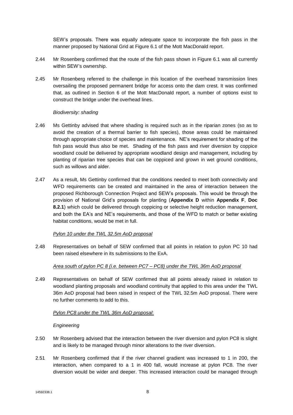SEW's proposals. There was equally adequate space to incorporate the fish pass in the manner proposed by National Grid at Figure 6.1 of the Mott MacDonald report.

- 2.44 Mr Rosenberg confirmed that the route of the fish pass shown in Figure 6.1 was all currently within SEW's ownership.
- 2.45 Mr Rosenberg referred to the challenge in this location of the overhead transmission lines oversailing the proposed permanent bridge for access onto the dam crest. It was confirmed that, as outlined in Section 6 of the Mott MacDonald report, a number of options exist to construct the bridge under the overhead lines.

#### *Biodiversity: shading*

- 2.46 Ms Gettinby advised that where shading is required such as in the riparian zones (so as to avoid the creation of a thermal barrier to fish species), those areas could be maintained through appropriate choice of species and maintenance. NE's requirement for shading of the fish pass would thus also be met. Shading of the fish pass and river diversion by coppice woodland could be delivered by appropriate woodland design and management, including by planting of riparian tree species that can be coppiced and grown in wet ground conditions, such as willows and alder.
- 2.47 As a result, Ms Gettinby confirmed that the conditions needed to meet both connectivity and WFD requirements can be created and maintained in the area of interaction between the proposed Richborough Connection Project and SEW's proposals. This would be through the provision of National Grid's proposals for planting (**Appendix D** within **Appendix F**, **Doc 8.2.1**) which could be delivered through coppicing or selective height reduction management, and both the EA's and NE's requirements, and those of the WFD to match or better existing habitat conditions, would be met in full.

# *Pylon 10 under the TWL 32.5m AoD proposal*

2.48 Representatives on behalf of SEW confirmed that all points in relation to pylon PC 10 had been raised elsewhere in its submissions to the ExA.

# *Area south of pylon PC 8 (i.e. between PC7 – PC8) under the TWL 36m AoD proposal*

2.49 Representatives on behalf of SEW confirmed that all points already raised in relation to woodland planting proposals and woodland continuity that applied to this area under the TWL 36m AoD proposal had been raised in respect of the TWL 32.5m AoD proposal. There were no further comments to add to this.

#### *Pylon PC8 under the TWL 36m AoD proposal*:

#### *Engineering*

- 2.50 Mr Rosenberg advised that the interaction between the river diversion and pylon PC8 is slight and is likely to be managed through minor alterations to the river diversion.
- 2.51 Mr Rosenberg confirmed that if the river channel gradient was increased to 1 in 200, the interaction, when compared to a 1 in 400 fall, would increase at pylon PC8. The river diversion would be wider and deeper. This increased interaction could be managed through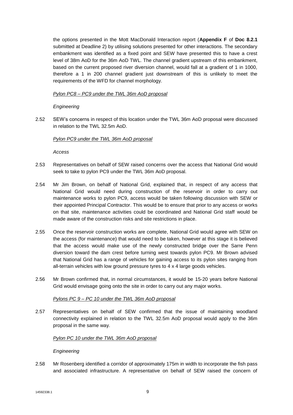the options presented in the Mott MacDonald Interaction report (**Appendix F** of **Doc 8.2.1** submitted at Deadline 2) by utilising solutions presented for other interactions. The secondary embankment was identified as a fixed point and SEW have presented this to have a crest level of 38m AoD for the 36m AoD TWL. The channel gradient upstream of this embankment, based on the current proposed river diversion channel, would fall at a gradient of 1 in 1000, therefore a 1 in 200 channel gradient just downstream of this is unlikely to meet the requirements of the WFD for channel morphology.

# *Pylon PC8 – PC9 under the TWL 36m AoD proposal*

# *Engineering*

2.52 SEW's concerns in respect of this location under the TWL 36m AoD proposal were discussed in relation to the TWL 32.5m AoD.

# *Pylon PC9 under the TWL 36m AoD proposal*

*Access*

- 2.53 Representatives on behalf of SEW raised concerns over the access that National Grid would seek to take to pylon PC9 under the TWL 36m AoD proposal.
- 2.54 Mr Jim Brown, on behalf of National Grid, explained that, in respect of any access that National Grid would need during construction of the reservoir in order to carry out maintenance works to pylon PC9, access would be taken following discussion with SEW or their appointed Principal Contractor. This would be to ensure that prior to any access or works on that site, maintenance activities could be coordinated and National Grid staff would be made aware of the construction risks and site restrictions in place.
- 2.55 Once the reservoir construction works are complete, National Grid would agree with SEW on the access (for maintenance) that would need to be taken, however at this stage it is believed that the access would make use of the newly constructed bridge over the Sarre Penn diversion toward the dam crest before turning west towards pylon PC9. Mr Brown advised that National Grid has a range of vehicles for gaining access to its pylon sites ranging from all-terrain vehicles with low ground pressure tyres to 4 x 4 large goods vehicles.
- 2.56 Mr Brown confirmed that, in normal circumstances, it would be 15-20 years before National Grid would envisage going onto the site in order to carry out any major works.

# *Pylons PC 9 – PC 10 under the TWL 36m AoD proposal*

2.57 Representatives on behalf of SEW confirmed that the issue of maintaining woodland connectivity explained in relation to the TWL 32.5m AoD proposal would apply to the 36m proposal in the same way.

# *Pylon PC 10 under the TWL 36m AoD proposal*

# *Engineering*

2.58 Mr Rosenberg identified a corridor of approximately 175m in width to incorporate the fish pass and associated infrastructure. A representative on behalf of SEW raised the concern of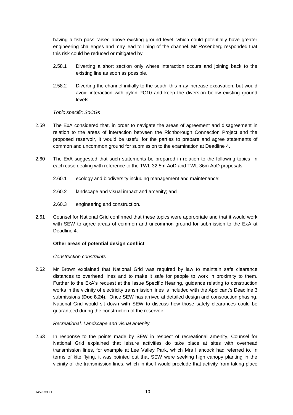having a fish pass raised above existing ground level, which could potentially have greater engineering challenges and may lead to lining of the channel. Mr Rosenberg responded that this risk could be reduced or mitigated by:

- 2.58.1 Diverting a short section only where interaction occurs and joining back to the existing line as soon as possible.
- 2.58.2 Diverting the channel initially to the south; this may increase excavation, but would avoid interaction with pylon PC10 and keep the diversion below existing ground levels.

#### *Topic specific SoCGs*

- 2.59 The ExA considered that, in order to navigate the areas of agreement and disagreement in relation to the areas of interaction between the Richborough Connection Project and the proposed reservoir, it would be useful for the parties to prepare and agree statements of common and uncommon ground for submission to the examination at Deadline 4.
- 2.60 The ExA suggested that such statements be prepared in relation to the following topics, in each case dealing with reference to the TWL 32.5m AoD and TWL 36m AoD proposals:
	- 2.60.1 ecology and biodiversity including management and maintenance;
	- 2.60.2 landscape and visual impact and amenity; and
	- 2.60.3 engineering and construction.
- 2.61 Counsel for National Grid confirmed that these topics were appropriate and that it would work with SEW to agree areas of common and uncommon ground for submission to the ExA at Deadline 4.

#### **Other areas of potential design conflict**

#### *Construction constraints*

2.62 Mr Brown explained that National Grid was required by law to maintain safe clearance distances to overhead lines and to make it safe for people to work in proximity to them. Further to the ExA's request at the Issue Specific Hearing, guidance relating to construction works in the vicinity of electricity transmission lines is included with the Applicant's Deadline 3 submissions (**Doc 8.24**). Once SEW has arrived at detailed design and construction phasing, National Grid would sit down with SEW to discuss how those safety clearances could be guaranteed during the construction of the reservoir.

#### *Recreational, Landscape and visual amenity*

2.63 In response to the points made by SEW in respect of recreational amenity, Counsel for National Grid explained that leisure activities do take place at sites with overhead transmission lines, for example at Lee Valley Park, which Mrs Hancock had referred to. In terms of kite flying, it was pointed out that SEW were seeking high canopy planting in the vicinity of the transmission lines, which in itself would preclude that activity from taking place